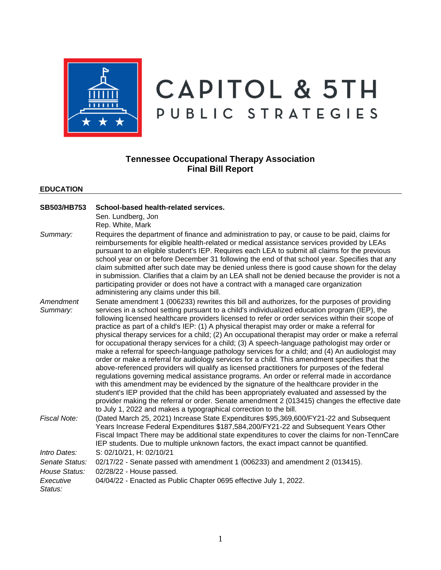

# **CAPITOL & 5TH** PUBLIC STRATEGIES

## **Tennessee Occupational Therapy Association Final Bill Report**

#### **EDUCATION**

| SB503/HB753           | School-based health-related services.<br>Sen. Lundberg, Jon<br>Rep. White, Mark                                                                                                                                                                                                                                                                                                                                                                                                                                                                                                                                                                                                                                                                                                                                                                                                                                                                                                                                                                                                                                                                                                                                                                                                                                                                                             |
|-----------------------|-----------------------------------------------------------------------------------------------------------------------------------------------------------------------------------------------------------------------------------------------------------------------------------------------------------------------------------------------------------------------------------------------------------------------------------------------------------------------------------------------------------------------------------------------------------------------------------------------------------------------------------------------------------------------------------------------------------------------------------------------------------------------------------------------------------------------------------------------------------------------------------------------------------------------------------------------------------------------------------------------------------------------------------------------------------------------------------------------------------------------------------------------------------------------------------------------------------------------------------------------------------------------------------------------------------------------------------------------------------------------------|
| Summary:              | Requires the department of finance and administration to pay, or cause to be paid, claims for<br>reimbursements for eligible health-related or medical assistance services provided by LEAs<br>pursuant to an eligible student's IEP. Requires each LEA to submit all claims for the previous<br>school year on or before December 31 following the end of that school year. Specifies that any<br>claim submitted after such date may be denied unless there is good cause shown for the delay<br>in submission. Clarifies that a claim by an LEA shall not be denied because the provider is not a<br>participating provider or does not have a contract with a managed care organization<br>administering any claims under this bill.                                                                                                                                                                                                                                                                                                                                                                                                                                                                                                                                                                                                                                    |
| Amendment<br>Summary: | Senate amendment 1 (006233) rewrites this bill and authorizes, for the purposes of providing<br>services in a school setting pursuant to a child's individualized education program (IEP), the<br>following licensed healthcare providers licensed to refer or order services within their scope of<br>practice as part of a child's IEP: (1) A physical therapist may order or make a referral for<br>physical therapy services for a child; (2) An occupational therapist may order or make a referral<br>for occupational therapy services for a child; (3) A speech-language pathologist may order or<br>make a referral for speech-language pathology services for a child; and (4) An audiologist may<br>order or make a referral for audiology services for a child. This amendment specifies that the<br>above-referenced providers will qualify as licensed practitioners for purposes of the federal<br>regulations governing medical assistance programs. An order or referral made in accordance<br>with this amendment may be evidenced by the signature of the healthcare provider in the<br>student's IEP provided that the child has been appropriately evaluated and assessed by the<br>provider making the referral or order. Senate amendment 2 (013415) changes the effective date<br>to July 1, 2022 and makes a typographical correction to the bill. |
| Fiscal Note:          | (Dated March 25, 2021) Increase State Expenditures \$95,369,600/FY21-22 and Subsequent<br>Years Increase Federal Expenditures \$187,584,200/FY21-22 and Subsequent Years Other<br>Fiscal Impact There may be additional state expenditures to cover the claims for non-TennCare<br>IEP students. Due to multiple unknown factors, the exact impact cannot be quantified.                                                                                                                                                                                                                                                                                                                                                                                                                                                                                                                                                                                                                                                                                                                                                                                                                                                                                                                                                                                                    |
| Intro Dates:          | S: 02/10/21, H: 02/10/21                                                                                                                                                                                                                                                                                                                                                                                                                                                                                                                                                                                                                                                                                                                                                                                                                                                                                                                                                                                                                                                                                                                                                                                                                                                                                                                                                    |
| Senate Status:        | 02/17/22 - Senate passed with amendment 1 (006233) and amendment 2 (013415).                                                                                                                                                                                                                                                                                                                                                                                                                                                                                                                                                                                                                                                                                                                                                                                                                                                                                                                                                                                                                                                                                                                                                                                                                                                                                                |
| House Status:         | 02/28/22 - House passed.                                                                                                                                                                                                                                                                                                                                                                                                                                                                                                                                                                                                                                                                                                                                                                                                                                                                                                                                                                                                                                                                                                                                                                                                                                                                                                                                                    |
| Executive<br>Status:  | 04/04/22 - Enacted as Public Chapter 0695 effective July 1, 2022.                                                                                                                                                                                                                                                                                                                                                                                                                                                                                                                                                                                                                                                                                                                                                                                                                                                                                                                                                                                                                                                                                                                                                                                                                                                                                                           |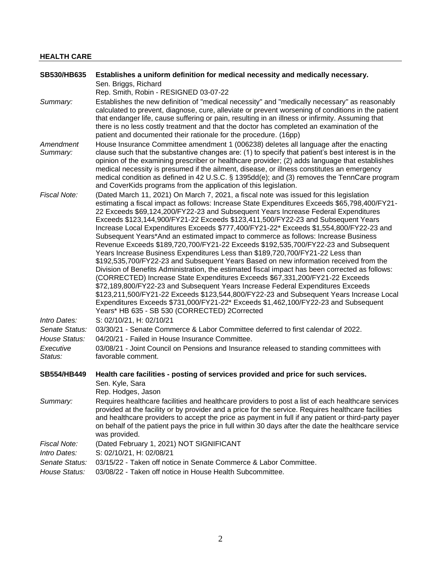## **HEALTH CARE**

| <b>SB530/HB635</b>              | Establishes a uniform definition for medical necessity and medically necessary.                                                                                                                                                                                                                                                                                                                                                                                                                                                                                                                                                                                                                                                                                                                                                                                                                                                                                                                                                                                                                                                                                                                                                                                                                                            |
|---------------------------------|----------------------------------------------------------------------------------------------------------------------------------------------------------------------------------------------------------------------------------------------------------------------------------------------------------------------------------------------------------------------------------------------------------------------------------------------------------------------------------------------------------------------------------------------------------------------------------------------------------------------------------------------------------------------------------------------------------------------------------------------------------------------------------------------------------------------------------------------------------------------------------------------------------------------------------------------------------------------------------------------------------------------------------------------------------------------------------------------------------------------------------------------------------------------------------------------------------------------------------------------------------------------------------------------------------------------------|
|                                 | Sen. Briggs, Richard                                                                                                                                                                                                                                                                                                                                                                                                                                                                                                                                                                                                                                                                                                                                                                                                                                                                                                                                                                                                                                                                                                                                                                                                                                                                                                       |
|                                 | Rep. Smith, Robin - RESIGNED 03-07-22                                                                                                                                                                                                                                                                                                                                                                                                                                                                                                                                                                                                                                                                                                                                                                                                                                                                                                                                                                                                                                                                                                                                                                                                                                                                                      |
| Summary:                        | Establishes the new definition of "medical necessity" and "medically necessary" as reasonably<br>calculated to prevent, diagnose, cure, alleviate or prevent worsening of conditions in the patient<br>that endanger life, cause suffering or pain, resulting in an illness or infirmity. Assuming that<br>there is no less costly treatment and that the doctor has completed an examination of the<br>patient and documented their rationale for the procedure. (16pp)                                                                                                                                                                                                                                                                                                                                                                                                                                                                                                                                                                                                                                                                                                                                                                                                                                                   |
| Amendment<br>Summary:           | House Insurance Committee amendment 1 (006238) deletes all language after the enacting<br>clause such that the substantive changes are: (1) to specify that patient's best interest is in the<br>opinion of the examining prescriber or healthcare provider; (2) adds language that establishes<br>medical necessity is presumed if the ailment, disease, or illness constitutes an emergency<br>medical condition as defined in 42 U.S.C. § 1395dd(e); and (3) removes the TennCare program<br>and CoverKids programs from the application of this legislation.                                                                                                                                                                                                                                                                                                                                                                                                                                                                                                                                                                                                                                                                                                                                                           |
| Fiscal Note:                    | (Dated March 11, 2021) On March 7, 2021, a fiscal note was issued for this legislation<br>estimating a fiscal impact as follows: Increase State Expenditures Exceeds \$65,798,400/FY21-<br>22 Exceeds \$69,124,200/FY22-23 and Subsequent Years Increase Federal Expenditures<br>Exceeds \$123,144,900/FY21-22 Exceeds \$123,411,500/FY22-23 and Subsequent Years<br>Increase Local Expenditures Exceeds \$777,400/FY21-22* Exceeds \$1,554,800/FY22-23 and<br>Subsequent Years*And an estimated impact to commerce as follows: Increase Business<br>Revenue Exceeds \$189,720,700/FY21-22 Exceeds \$192,535,700/FY22-23 and Subsequent<br>Years Increase Business Expenditures Less than \$189,720,700/FY21-22 Less than<br>\$192,535,700/FY22-23 and Subsequent Years Based on new information received from the<br>Division of Benefits Administration, the estimated fiscal impact has been corrected as follows:<br>(CORRECTED) Increase State Expenditures Exceeds \$67,331,200/FY21-22 Exceeds<br>\$72,189,800/FY22-23 and Subsequent Years Increase Federal Expenditures Exceeds<br>\$123,211,500/FY21-22 Exceeds \$123,544,800/FY22-23 and Subsequent Years Increase Local<br>Expenditures Exceeds \$731,000/FY21-22* Exceeds \$1,462,100/FY22-23 and Subsequent<br>Years* HB 635 - SB 530 (CORRECTED) 2Corrected |
| Intro Dates:                    | S: 02/10/21, H: 02/10/21                                                                                                                                                                                                                                                                                                                                                                                                                                                                                                                                                                                                                                                                                                                                                                                                                                                                                                                                                                                                                                                                                                                                                                                                                                                                                                   |
| Senate Status:<br>House Status: | 03/30/21 - Senate Commerce & Labor Committee deferred to first calendar of 2022.<br>04/20/21 - Failed in House Insurance Committee.                                                                                                                                                                                                                                                                                                                                                                                                                                                                                                                                                                                                                                                                                                                                                                                                                                                                                                                                                                                                                                                                                                                                                                                        |
| Executive<br>Status:            | 03/08/21 - Joint Council on Pensions and Insurance released to standing committees with<br>favorable comment.                                                                                                                                                                                                                                                                                                                                                                                                                                                                                                                                                                                                                                                                                                                                                                                                                                                                                                                                                                                                                                                                                                                                                                                                              |
| <b>SB554/HB449</b>              | Health care facilities - posting of services provided and price for such services.<br>Sen. Kyle, Sara<br>Rep. Hodges, Jason                                                                                                                                                                                                                                                                                                                                                                                                                                                                                                                                                                                                                                                                                                                                                                                                                                                                                                                                                                                                                                                                                                                                                                                                |
| Summary:                        | Requires healthcare facilities and healthcare providers to post a list of each healthcare services<br>provided at the facility or by provider and a price for the service. Requires healthcare facilities<br>and healthcare providers to accept the price as payment in full if any patient or third-party payer<br>on behalf of the patient pays the price in full within 30 days after the date the healthcare service<br>was provided.                                                                                                                                                                                                                                                                                                                                                                                                                                                                                                                                                                                                                                                                                                                                                                                                                                                                                  |
| Fiscal Note:                    | (Dated February 1, 2021) NOT SIGNIFICANT                                                                                                                                                                                                                                                                                                                                                                                                                                                                                                                                                                                                                                                                                                                                                                                                                                                                                                                                                                                                                                                                                                                                                                                                                                                                                   |
| Intro Dates:                    | S: 02/10/21, H: 02/08/21                                                                                                                                                                                                                                                                                                                                                                                                                                                                                                                                                                                                                                                                                                                                                                                                                                                                                                                                                                                                                                                                                                                                                                                                                                                                                                   |
| Senate Status:<br>House Status: | 03/15/22 - Taken off notice in Senate Commerce & Labor Committee.<br>03/08/22 - Taken off notice in House Health Subcommittee.                                                                                                                                                                                                                                                                                                                                                                                                                                                                                                                                                                                                                                                                                                                                                                                                                                                                                                                                                                                                                                                                                                                                                                                             |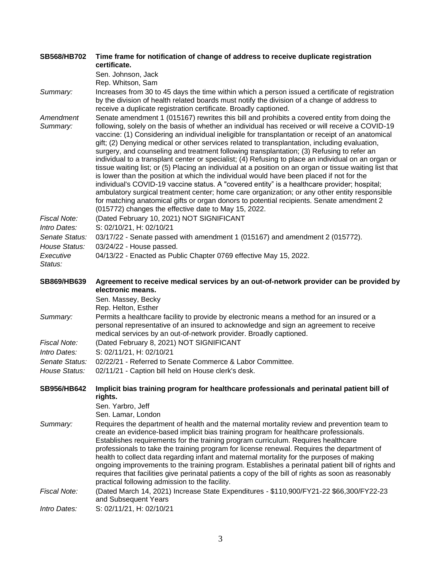| <b>SB568/HB702</b>                              | Time frame for notification of change of address to receive duplicate registration<br>certificate.                                                                                                                                                                                                                                                                                                                                                                                                                                                                                                                                                                                                                                                                                                                                                                                                                                                                                                                                                                                                                                                                     |
|-------------------------------------------------|------------------------------------------------------------------------------------------------------------------------------------------------------------------------------------------------------------------------------------------------------------------------------------------------------------------------------------------------------------------------------------------------------------------------------------------------------------------------------------------------------------------------------------------------------------------------------------------------------------------------------------------------------------------------------------------------------------------------------------------------------------------------------------------------------------------------------------------------------------------------------------------------------------------------------------------------------------------------------------------------------------------------------------------------------------------------------------------------------------------------------------------------------------------------|
|                                                 | Sen. Johnson, Jack<br>Rep. Whitson, Sam                                                                                                                                                                                                                                                                                                                                                                                                                                                                                                                                                                                                                                                                                                                                                                                                                                                                                                                                                                                                                                                                                                                                |
| Summary:                                        | Increases from 30 to 45 days the time within which a person issued a certificate of registration<br>by the division of health related boards must notify the division of a change of address to<br>receive a duplicate registration certificate. Broadly captioned.                                                                                                                                                                                                                                                                                                                                                                                                                                                                                                                                                                                                                                                                                                                                                                                                                                                                                                    |
| Amendment<br>Summary:                           | Senate amendment 1 (015167) rewrites this bill and prohibits a covered entity from doing the<br>following, solely on the basis of whether an individual has received or will receive a COVID-19<br>vaccine: (1) Considering an individual ineligible for transplantation or receipt of an anatomical<br>gift; (2) Denying medical or other services related to transplantation, including evaluation,<br>surgery, and counseling and treatment following transplantation; (3) Refusing to refer an<br>individual to a transplant center or specialist; (4) Refusing to place an individual on an organ or<br>tissue waiting list; or (5) Placing an individual at a position on an organ or tissue waiting list that<br>is lower than the position at which the individual would have been placed if not for the<br>individual's COVID-19 vaccine status. A "covered entity" is a healthcare provider; hospital;<br>ambulatory surgical treatment center; home care organization; or any other entity responsible<br>for matching anatomical gifts or organ donors to potential recipients. Senate amendment 2<br>(015772) changes the effective date to May 15, 2022. |
| Fiscal Note:                                    | (Dated February 10, 2021) NOT SIGNIFICANT                                                                                                                                                                                                                                                                                                                                                                                                                                                                                                                                                                                                                                                                                                                                                                                                                                                                                                                                                                                                                                                                                                                              |
| Intro Dates:<br>Senate Status:<br>House Status: | S: 02/10/21, H: 02/10/21<br>03/17/22 - Senate passed with amendment 1 (015167) and amendment 2 (015772).<br>03/24/22 - House passed.                                                                                                                                                                                                                                                                                                                                                                                                                                                                                                                                                                                                                                                                                                                                                                                                                                                                                                                                                                                                                                   |
| Executive<br>Status:                            | 04/13/22 - Enacted as Public Chapter 0769 effective May 15, 2022.                                                                                                                                                                                                                                                                                                                                                                                                                                                                                                                                                                                                                                                                                                                                                                                                                                                                                                                                                                                                                                                                                                      |
| SB869/HB639                                     | Agreement to receive medical services by an out-of-network provider can be provided by<br>electronic means.                                                                                                                                                                                                                                                                                                                                                                                                                                                                                                                                                                                                                                                                                                                                                                                                                                                                                                                                                                                                                                                            |
|                                                 | Sen. Massey, Becky<br>Rep. Helton, Esther                                                                                                                                                                                                                                                                                                                                                                                                                                                                                                                                                                                                                                                                                                                                                                                                                                                                                                                                                                                                                                                                                                                              |
| Summary:                                        | Permits a healthcare facility to provide by electronic means a method for an insured or a<br>personal representative of an insured to acknowledge and sign an agreement to receive<br>medical services by an out-of-network provider. Broadly captioned.                                                                                                                                                                                                                                                                                                                                                                                                                                                                                                                                                                                                                                                                                                                                                                                                                                                                                                               |
| Fiscal Note:<br>Intro Dates:                    | (Dated February 8, 2021) NOT SIGNIFICANT<br>S: 02/11/21, H: 02/10/21                                                                                                                                                                                                                                                                                                                                                                                                                                                                                                                                                                                                                                                                                                                                                                                                                                                                                                                                                                                                                                                                                                   |
| Senate Status:                                  | 02/22/21 - Referred to Senate Commerce & Labor Committee.                                                                                                                                                                                                                                                                                                                                                                                                                                                                                                                                                                                                                                                                                                                                                                                                                                                                                                                                                                                                                                                                                                              |
| House Status:                                   | 02/11/21 - Caption bill held on House clerk's desk.                                                                                                                                                                                                                                                                                                                                                                                                                                                                                                                                                                                                                                                                                                                                                                                                                                                                                                                                                                                                                                                                                                                    |
| <b>SB956/HB642</b>                              | Implicit bias training program for healthcare professionals and perinatal patient bill of<br>rights.<br>Sen. Yarbro, Jeff                                                                                                                                                                                                                                                                                                                                                                                                                                                                                                                                                                                                                                                                                                                                                                                                                                                                                                                                                                                                                                              |
|                                                 | Sen. Lamar, London                                                                                                                                                                                                                                                                                                                                                                                                                                                                                                                                                                                                                                                                                                                                                                                                                                                                                                                                                                                                                                                                                                                                                     |
| Summary:                                        | Requires the department of health and the maternal mortality review and prevention team to<br>create an evidence-based implicit bias training program for healthcare professionals.<br>Establishes requirements for the training program curriculum. Requires healthcare<br>professionals to take the training program for license renewal. Requires the department of<br>health to collect data regarding infant and maternal mortality for the purposes of making<br>ongoing improvements to the training program. Establishes a perinatal patient bill of rights and<br>requires that facilities give perinatal patients a copy of the bill of rights as soon as reasonably<br>practical following admission to the facility.                                                                                                                                                                                                                                                                                                                                                                                                                                       |
| Fiscal Note:                                    | (Dated March 14, 2021) Increase State Expenditures - \$110,900/FY21-22 \$66,300/FY22-23<br>and Subsequent Years                                                                                                                                                                                                                                                                                                                                                                                                                                                                                                                                                                                                                                                                                                                                                                                                                                                                                                                                                                                                                                                        |
| Intro Dates:                                    | S: 02/11/21, H: 02/10/21                                                                                                                                                                                                                                                                                                                                                                                                                                                                                                                                                                                                                                                                                                                                                                                                                                                                                                                                                                                                                                                                                                                                               |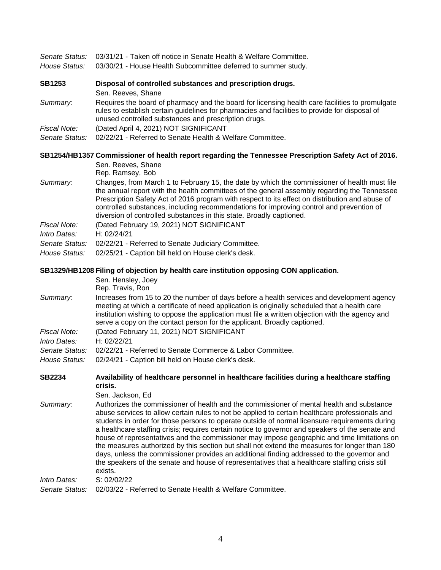| Senate Status: | 03/31/21 - Taken off notice in Senate Health & Welfare Committee.                                                                                                                                                                                                                                                                                                                                                                                                                                                                                                                                                                                                                                                                                                                                              |
|----------------|----------------------------------------------------------------------------------------------------------------------------------------------------------------------------------------------------------------------------------------------------------------------------------------------------------------------------------------------------------------------------------------------------------------------------------------------------------------------------------------------------------------------------------------------------------------------------------------------------------------------------------------------------------------------------------------------------------------------------------------------------------------------------------------------------------------|
| House Status:  | 03/30/21 - House Health Subcommittee deferred to summer study.                                                                                                                                                                                                                                                                                                                                                                                                                                                                                                                                                                                                                                                                                                                                                 |
| <b>SB1253</b>  | Disposal of controlled substances and prescription drugs.<br>Sen. Reeves, Shane                                                                                                                                                                                                                                                                                                                                                                                                                                                                                                                                                                                                                                                                                                                                |
| Summary:       | Requires the board of pharmacy and the board for licensing health care facilities to promulgate<br>rules to establish certain guidelines for pharmacies and facilities to provide for disposal of<br>unused controlled substances and prescription drugs.                                                                                                                                                                                                                                                                                                                                                                                                                                                                                                                                                      |
| Fiscal Note:   | (Dated April 4, 2021) NOT SIGNIFICANT                                                                                                                                                                                                                                                                                                                                                                                                                                                                                                                                                                                                                                                                                                                                                                          |
| Senate Status: | 02/22/21 - Referred to Senate Health & Welfare Committee.                                                                                                                                                                                                                                                                                                                                                                                                                                                                                                                                                                                                                                                                                                                                                      |
|                | SB1254/HB1357 Commissioner of health report regarding the Tennessee Prescription Safety Act of 2016.                                                                                                                                                                                                                                                                                                                                                                                                                                                                                                                                                                                                                                                                                                           |
|                | Sen. Reeves, Shane<br>Rep. Ramsey, Bob                                                                                                                                                                                                                                                                                                                                                                                                                                                                                                                                                                                                                                                                                                                                                                         |
| Summary:       | Changes, from March 1 to February 15, the date by which the commissioner of health must file<br>the annual report with the health committees of the general assembly regarding the Tennessee<br>Prescription Safety Act of 2016 program with respect to its effect on distribution and abuse of<br>controlled substances, including recommendations for improving control and prevention of<br>diversion of controlled substances in this state. Broadly captioned.                                                                                                                                                                                                                                                                                                                                            |
| Fiscal Note:   | (Dated February 19, 2021) NOT SIGNIFICANT                                                                                                                                                                                                                                                                                                                                                                                                                                                                                                                                                                                                                                                                                                                                                                      |
| Intro Dates:   | H: 02/24/21                                                                                                                                                                                                                                                                                                                                                                                                                                                                                                                                                                                                                                                                                                                                                                                                    |
| Senate Status: | 02/22/21 - Referred to Senate Judiciary Committee.                                                                                                                                                                                                                                                                                                                                                                                                                                                                                                                                                                                                                                                                                                                                                             |
| House Status:  | 02/25/21 - Caption bill held on House clerk's desk.                                                                                                                                                                                                                                                                                                                                                                                                                                                                                                                                                                                                                                                                                                                                                            |
|                | SB1329/HB1208 Filing of objection by health care institution opposing CON application.<br>Sen. Hensley, Joey<br>Rep. Travis, Ron                                                                                                                                                                                                                                                                                                                                                                                                                                                                                                                                                                                                                                                                               |
| Summary:       | Increases from 15 to 20 the number of days before a health services and development agency<br>meeting at which a certificate of need application is originally scheduled that a health care<br>institution wishing to oppose the application must file a written objection with the agency and<br>serve a copy on the contact person for the applicant. Broadly captioned.                                                                                                                                                                                                                                                                                                                                                                                                                                     |
| Fiscal Note:   | (Dated February 11, 2021) NOT SIGNIFICANT                                                                                                                                                                                                                                                                                                                                                                                                                                                                                                                                                                                                                                                                                                                                                                      |
| Intro Dates:   | H: 02/22/21                                                                                                                                                                                                                                                                                                                                                                                                                                                                                                                                                                                                                                                                                                                                                                                                    |
| Senate Status: | 02/22/21 - Referred to Senate Commerce & Labor Committee.                                                                                                                                                                                                                                                                                                                                                                                                                                                                                                                                                                                                                                                                                                                                                      |
| House Status:  | 02/24/21 - Caption bill held on House clerk's desk.                                                                                                                                                                                                                                                                                                                                                                                                                                                                                                                                                                                                                                                                                                                                                            |
| <b>SB2234</b>  | Availability of healthcare personnel in healthcare facilities during a healthcare staffing<br>crisis.                                                                                                                                                                                                                                                                                                                                                                                                                                                                                                                                                                                                                                                                                                          |
|                | Sen. Jackson, Ed                                                                                                                                                                                                                                                                                                                                                                                                                                                                                                                                                                                                                                                                                                                                                                                               |
| Summary:       | Authorizes the commissioner of health and the commissioner of mental health and substance<br>abuse services to allow certain rules to not be applied to certain healthcare professionals and<br>students in order for those persons to operate outside of normal licensure requirements during<br>a healthcare staffing crisis; requires certain notice to governor and speakers of the senate and<br>house of representatives and the commissioner may impose geographic and time limitations on<br>the measures authorized by this section but shall not extend the measures for longer than 180<br>days, unless the commissioner provides an additional finding addressed to the governor and<br>the speakers of the senate and house of representatives that a healthcare staffing crisis still<br>exists. |
| Intro Dates:   | S: 02/02/22                                                                                                                                                                                                                                                                                                                                                                                                                                                                                                                                                                                                                                                                                                                                                                                                    |
| Senate Status: | 02/03/22 - Referred to Senate Health & Welfare Committee.                                                                                                                                                                                                                                                                                                                                                                                                                                                                                                                                                                                                                                                                                                                                                      |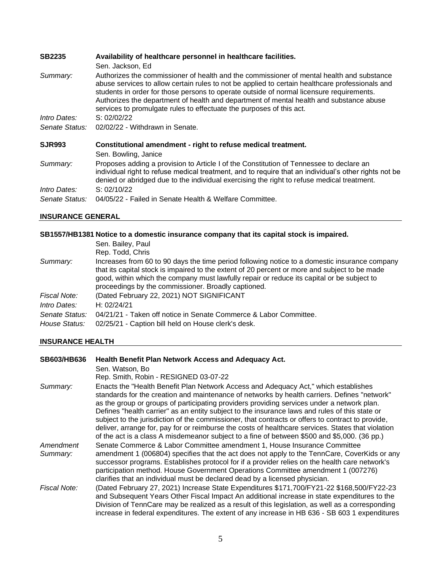| <b>SB2235</b>                  | Availability of healthcare personnel in healthcare facilities.                                                                                                                                                                                                                                                                                                                                                                                              |
|--------------------------------|-------------------------------------------------------------------------------------------------------------------------------------------------------------------------------------------------------------------------------------------------------------------------------------------------------------------------------------------------------------------------------------------------------------------------------------------------------------|
|                                | Sen. Jackson, Ed.                                                                                                                                                                                                                                                                                                                                                                                                                                           |
| Summary:                       | Authorizes the commissioner of health and the commissioner of mental health and substance<br>abuse services to allow certain rules to not be applied to certain healthcare professionals and<br>students in order for those persons to operate outside of normal licensure requirements.<br>Authorizes the department of health and department of mental health and substance abuse<br>services to promulgate rules to effectuate the purposes of this act. |
| <i>Intro Dates:</i>            | S: 02/02/22                                                                                                                                                                                                                                                                                                                                                                                                                                                 |
| Senate Status:                 | 02/02/22 - Withdrawn in Senate.                                                                                                                                                                                                                                                                                                                                                                                                                             |
| <b>SJR993</b>                  | Constitutional amendment - right to refuse medical treatment.<br>Sen. Bowling, Janice                                                                                                                                                                                                                                                                                                                                                                       |
| Summary:                       | Proposes adding a provision to Article I of the Constitution of Tennessee to declare an<br>individual right to refuse medical treatment, and to require that an individual's other rights not be<br>denied or abridged due to the individual exercising the right to refuse medical treatment.                                                                                                                                                              |
| Intro Dates:<br>Senate Status: | S: 02/10/22<br>04/05/22 - Failed in Senate Health & Welfare Committee.                                                                                                                                                                                                                                                                                                                                                                                      |

## **INSURANCE GENERAL**

### **[SB1557/HB1381 Notice to a domestic insurance company that its capital stock is impaired.](https://tls.mleesmith.com/2021-2022/pdf/SB1557.pdf)**

|                                 | Sen. Bailey, Paul<br>Rep. Todd, Chris                                                                                                                                                                                                                                                                                                               |
|---------------------------------|-----------------------------------------------------------------------------------------------------------------------------------------------------------------------------------------------------------------------------------------------------------------------------------------------------------------------------------------------------|
| Summary:                        | Increases from 60 to 90 days the time period following notice to a domestic insurance company<br>that its capital stock is impaired to the extent of 20 percent or more and subject to be made<br>good, within which the company must lawfully repair or reduce its capital or be subject to<br>proceedings by the commissioner. Broadly captioned. |
| Fiscal Note:                    | (Dated February 22, 2021) NOT SIGNIFICANT                                                                                                                                                                                                                                                                                                           |
| Intro Dates:                    | H: 02/24/21                                                                                                                                                                                                                                                                                                                                         |
| Senate Status:<br>House Status: | 04/21/21 - Taken off notice in Senate Commerce & Labor Committee.<br>02/25/21 - Caption bill held on House clerk's desk.                                                                                                                                                                                                                            |
|                                 |                                                                                                                                                                                                                                                                                                                                                     |

### **INSURANCE HEALTH**

| <b>SB603/HB636</b>    | Health Benefit Plan Network Access and Adequacy Act.                                                                                                                                                                                                                                                                                                                                                                                                                                                                                                                                                                                                                                           |
|-----------------------|------------------------------------------------------------------------------------------------------------------------------------------------------------------------------------------------------------------------------------------------------------------------------------------------------------------------------------------------------------------------------------------------------------------------------------------------------------------------------------------------------------------------------------------------------------------------------------------------------------------------------------------------------------------------------------------------|
|                       | Sen. Watson, Bo                                                                                                                                                                                                                                                                                                                                                                                                                                                                                                                                                                                                                                                                                |
|                       | Rep. Smith, Robin - RESIGNED 03-07-22                                                                                                                                                                                                                                                                                                                                                                                                                                                                                                                                                                                                                                                          |
| Summary:              | Enacts the "Health Benefit Plan Network Access and Adequacy Act," which establishes<br>standards for the creation and maintenance of networks by health carriers. Defines "network"<br>as the group or groups of participating providers providing services under a network plan.<br>Defines "health carrier" as an entity subject to the insurance laws and rules of this state or<br>subject to the jurisdiction of the commissioner, that contracts or offers to contract to provide,<br>deliver, arrange for, pay for or reimburse the costs of healthcare services. States that violation<br>of the act is a class A misdemeanor subject to a fine of between \$500 and \$5,000. (36 pp.) |
| Amendment<br>Summary: | Senate Commerce & Labor Committee amendment 1, House Insurance Committee<br>amendment 1 (006804) specifies that the act does not apply to the TennCare, CoverKids or any<br>successor programs. Establishes protocol for if a provider relies on the health care network's<br>participation method. House Government Operations Committee amendment 1 (007276)<br>clarifies that an individual must be declared dead by a licensed physician.                                                                                                                                                                                                                                                  |
| Fiscal Note:          | (Dated February 27, 2021) Increase State Expenditures \$171,700/FY21-22 \$168,500/FY22-23<br>and Subsequent Years Other Fiscal Impact An additional increase in state expenditures to the<br>Division of TennCare may be realized as a result of this legislation, as well as a corresponding<br>increase in federal expenditures. The extent of any increase in HB 636 - SB 603 1 expenditures                                                                                                                                                                                                                                                                                                |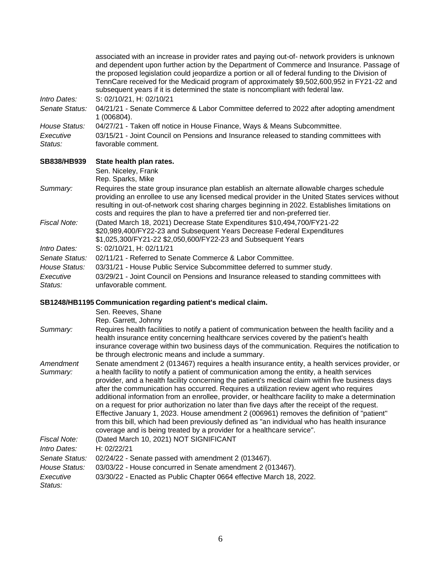|                      | associated with an increase in provider rates and paying out-of- network providers is unknown<br>and dependent upon further action by the Department of Commerce and Insurance. Passage of<br>the proposed legislation could jeopardize a portion or all of federal funding to the Division of<br>TennCare received for the Medicaid program of approximately \$9,502,600,952 in FY21-22 and<br>subsequent years if it is determined the state is noncompliant with federal law. |
|----------------------|----------------------------------------------------------------------------------------------------------------------------------------------------------------------------------------------------------------------------------------------------------------------------------------------------------------------------------------------------------------------------------------------------------------------------------------------------------------------------------|
| Intro Dates:         | S: 02/10/21, H: 02/10/21                                                                                                                                                                                                                                                                                                                                                                                                                                                         |
| Senate Status:       | 04/21/21 - Senate Commerce & Labor Committee deferred to 2022 after adopting amendment<br>1 (006804).                                                                                                                                                                                                                                                                                                                                                                            |
| House Status:        | 04/27/21 - Taken off notice in House Finance, Ways & Means Subcommittee.                                                                                                                                                                                                                                                                                                                                                                                                         |
| Executive<br>Status: | 03/15/21 - Joint Council on Pensions and Insurance released to standing committees with<br>favorable comment.                                                                                                                                                                                                                                                                                                                                                                    |
| SB838/HB939          | State health plan rates.                                                                                                                                                                                                                                                                                                                                                                                                                                                         |
|                      | Sen. Niceley, Frank<br>Rep. Sparks, Mike                                                                                                                                                                                                                                                                                                                                                                                                                                         |
| Summary:             | Requires the state group insurance plan establish an alternate allowable charges schedule<br>providing an enrollee to use any licensed medical provider in the United States services without<br>resulting in out-of-network cost sharing charges beginning in 2022. Establishes limitations on<br>costs and requires the plan to have a preferred tier and non-preferred tier.                                                                                                  |
| Fiscal Note:         | (Dated March 18, 2021) Decrease State Expenditures \$10,494,700/FY21-22<br>\$20,989,400/FY22-23 and Subsequent Years Decrease Federal Expenditures<br>\$1,025,300/FY21-22 \$2,050,600/FY22-23 and Subsequent Years                                                                                                                                                                                                                                                               |
| Intro Dates:         | S: 02/10/21, H: 02/11/21                                                                                                                                                                                                                                                                                                                                                                                                                                                         |
| Senate Status:       | 02/11/21 - Referred to Senate Commerce & Labor Committee.                                                                                                                                                                                                                                                                                                                                                                                                                        |
| House Status:        | 03/31/21 - House Public Service Subcommittee deferred to summer study.                                                                                                                                                                                                                                                                                                                                                                                                           |
| Executive<br>Status: | 03/29/21 - Joint Council on Pensions and Insurance released to standing committees with<br>unfavorable comment.                                                                                                                                                                                                                                                                                                                                                                  |

## **[SB1248/HB1195 Communication regarding patient's medical claim.](https://tls.mleesmith.com/2021-2022/pdf/SB1248.pdf)**

|                       | Sen. Reeves, Shane<br>Rep. Garrett, Johnny                                                                                                                                                                                                                                                                                                                                                                                                                                                                                                                                                                                                                                                                                                                                                                                                                               |
|-----------------------|--------------------------------------------------------------------------------------------------------------------------------------------------------------------------------------------------------------------------------------------------------------------------------------------------------------------------------------------------------------------------------------------------------------------------------------------------------------------------------------------------------------------------------------------------------------------------------------------------------------------------------------------------------------------------------------------------------------------------------------------------------------------------------------------------------------------------------------------------------------------------|
| Summary:              | Requires health facilities to notify a patient of communication between the health facility and a<br>health insurance entity concerning healthcare services covered by the patient's health<br>insurance coverage within two business days of the communication. Requires the notification to<br>be through electronic means and include a summary.                                                                                                                                                                                                                                                                                                                                                                                                                                                                                                                      |
| Amendment<br>Summary: | Senate amendment 2 (013467) requires a health insurance entity, a health services provider, or<br>a health facility to notify a patient of communication among the entity, a health services<br>provider, and a health facility concerning the patient's medical claim within five business days<br>after the communication has occurred. Requires a utilization review agent who requires<br>additional information from an enrollee, provider, or healthcare facility to make a determination<br>on a request for prior authorization no later than five days after the receipt of the request.<br>Effective January 1, 2023. House amendment 2 (006961) removes the definition of "patient"<br>from this bill, which had been previously defined as "an individual who has health insurance<br>coverage and is being treated by a provider for a healthcare service". |
| Fiscal Note:          | (Dated March 10, 2021) NOT SIGNIFICANT                                                                                                                                                                                                                                                                                                                                                                                                                                                                                                                                                                                                                                                                                                                                                                                                                                   |
| Intro Dates:          | H: 02/22/21                                                                                                                                                                                                                                                                                                                                                                                                                                                                                                                                                                                                                                                                                                                                                                                                                                                              |
| Senate Status:        | 02/24/22 - Senate passed with amendment 2 (013467).                                                                                                                                                                                                                                                                                                                                                                                                                                                                                                                                                                                                                                                                                                                                                                                                                      |
| House Status:         | 03/03/22 - House concurred in Senate amendment 2 (013467).                                                                                                                                                                                                                                                                                                                                                                                                                                                                                                                                                                                                                                                                                                                                                                                                               |
| Executive<br>Status:  | 03/30/22 - Enacted as Public Chapter 0664 effective March 18, 2022.                                                                                                                                                                                                                                                                                                                                                                                                                                                                                                                                                                                                                                                                                                                                                                                                      |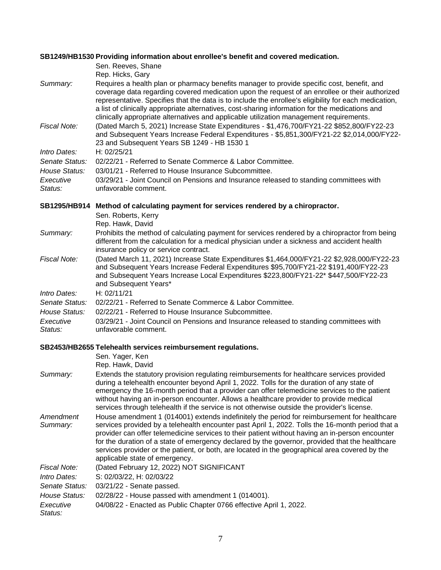### **[SB1249/HB1530 Providing information about enrollee's benefit and covered medication.](https://tls.mleesmith.com/2021-2022/pdf/SB1249.pdf)**

| Summary:             | Sen. Reeves, Shane<br>Rep. Hicks, Gary<br>Requires a health plan or pharmacy benefits manager to provide specific cost, benefit, and<br>coverage data regarding covered medication upon the request of an enrollee or their authorized<br>representative. Specifies that the data is to include the enrollee's eligibility for each medication,<br>a list of clinically appropriate alternatives, cost-sharing information for the medications and |
|----------------------|----------------------------------------------------------------------------------------------------------------------------------------------------------------------------------------------------------------------------------------------------------------------------------------------------------------------------------------------------------------------------------------------------------------------------------------------------|
| Fiscal Note:         | clinically appropriate alternatives and applicable utilization management requirements.<br>(Dated March 5, 2021) Increase State Expenditures - \$1,476,700/FY21-22 \$852,800/FY22-23<br>and Subsequent Years Increase Federal Expenditures - \$5,851,300/FY21-22 \$2,014,000/FY22-<br>23 and Subsequent Years SB 1249 - HB 1530 1                                                                                                                  |
| Intro Dates:         | H: 02/25/21                                                                                                                                                                                                                                                                                                                                                                                                                                        |
| Senate Status:       | 02/22/21 - Referred to Senate Commerce & Labor Committee.                                                                                                                                                                                                                                                                                                                                                                                          |
| House Status:        | 03/01/21 - Referred to House Insurance Subcommittee.                                                                                                                                                                                                                                                                                                                                                                                               |
| Executive<br>Status: | 03/29/21 - Joint Council on Pensions and Insurance released to standing committees with<br>unfavorable comment.                                                                                                                                                                                                                                                                                                                                    |
| <b>SB1295/HB914</b>  | Method of calculating payment for services rendered by a chiropractor.                                                                                                                                                                                                                                                                                                                                                                             |
|                      | Sen. Roberts, Kerry<br>Rep. Hawk, David                                                                                                                                                                                                                                                                                                                                                                                                            |
| Summary:             | Prohibits the method of calculating payment for services rendered by a chiropractor from being<br>different from the calculation for a medical physician under a sickness and accident health<br>insurance policy or service contract.                                                                                                                                                                                                             |
| Fiscal Note:         | (Dated March 11, 2021) Increase State Expenditures \$1,464,000/FY21-22 \$2,928,000/FY22-23<br>and Subsequent Years Increase Federal Expenditures \$95,700/FY21-22 \$191,400/FY22-23<br>and Subsequent Years Increase Local Expenditures \$223,800/FY21-22* \$447,500/FY22-23<br>and Subsequent Years*                                                                                                                                              |
| Intro Dates:         | H: 02/11/21                                                                                                                                                                                                                                                                                                                                                                                                                                        |
| Senate Status:       | 02/22/21 - Referred to Senate Commerce & Labor Committee.                                                                                                                                                                                                                                                                                                                                                                                          |
| House Status:        |                                                                                                                                                                                                                                                                                                                                                                                                                                                    |

*Executive Status:* 03/29/21 - Joint Council on Pensions and Insurance released to standing committees with unfavorable comment.

## **[SB2453/HB2655 Telehealth services reimbursement regulations.](https://tls.mleesmith.com/2021-2022/pdf/SB2453.pdf)**

|                       | Sen. Yager, Ken<br>Rep. Hawk, David                                                                                                                                                                                                                                                                                                                                                                                                                                                                                                       |
|-----------------------|-------------------------------------------------------------------------------------------------------------------------------------------------------------------------------------------------------------------------------------------------------------------------------------------------------------------------------------------------------------------------------------------------------------------------------------------------------------------------------------------------------------------------------------------|
| Summary:              | Extends the statutory provision regulating reimbursements for healthcare services provided<br>during a telehealth encounter beyond April 1, 2022. Tolls for the duration of any state of<br>emergency the 16-month period that a provider can offer telemedicine services to the patient<br>without having an in-person encounter. Allows a healthcare provider to provide medical<br>services through telehealth if the service is not otherwise outside the provider's license.                                                         |
| Amendment<br>Summary: | House amendment 1 (014001) extends indefinitely the period for reimbursement for healthcare<br>services provided by a telehealth encounter past April 1, 2022. Tolls the 16-month period that a<br>provider can offer telemedicine services to their patient without having an in-person encounter<br>for the duration of a state of emergency declared by the governor, provided that the healthcare<br>services provider or the patient, or both, are located in the geographical area covered by the<br>applicable state of emergency. |
| Fiscal Note:          | (Dated February 12, 2022) NOT SIGNIFICANT                                                                                                                                                                                                                                                                                                                                                                                                                                                                                                 |
| Intro Dates:          | S: 02/03/22, H: 02/03/22                                                                                                                                                                                                                                                                                                                                                                                                                                                                                                                  |
| Senate Status:        | $03/21/22$ - Senate passed.                                                                                                                                                                                                                                                                                                                                                                                                                                                                                                               |
| House Status:         | 02/28/22 - House passed with amendment 1 (014001).                                                                                                                                                                                                                                                                                                                                                                                                                                                                                        |
| Executive<br>Status:  | 04/08/22 - Enacted as Public Chapter 0766 effective April 1, 2022.                                                                                                                                                                                                                                                                                                                                                                                                                                                                        |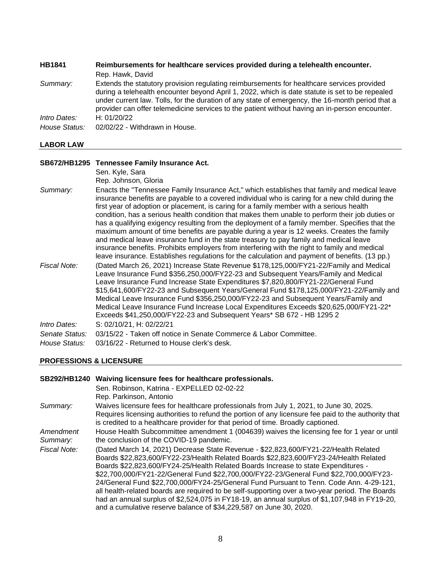| <b>HB1841</b> | Reimbursements for healthcare services provided during a telehealth encounter.                                                                                                                                                                                                                                                                                                                      |
|---------------|-----------------------------------------------------------------------------------------------------------------------------------------------------------------------------------------------------------------------------------------------------------------------------------------------------------------------------------------------------------------------------------------------------|
|               | Rep. Hawk, David                                                                                                                                                                                                                                                                                                                                                                                    |
| Summary:      | Extends the statutory provision regulating reimbursements for healthcare services provided<br>during a telehealth encounter beyond April 1, 2022, which is date statute is set to be repealed<br>under current law. Tolls, for the duration of any state of emergency, the 16-month period that a<br>provider can offer telemedicine services to the patient without having an in-person encounter. |
| Intro Dates:  | H: $01/20/22$                                                                                                                                                                                                                                                                                                                                                                                       |
| House Status: | 02/02/22 - Withdrawn in House.                                                                                                                                                                                                                                                                                                                                                                      |

#### **LABOR LAW**

#### **[SB672/HB1295 Tennessee Family Insurance Act.](https://tls.mleesmith.com/2021-2022/pdf/SB0672.pdf)**

Sen. Kyle, Sara Rep. Johnson, Gloria *Summary:* Enacts the "Tennessee Family Insurance Act," which establishes that family and medical leave insurance benefits are payable to a covered individual who is caring for a new child during the first year of adoption or placement, is caring for a family member with a serious health condition, has a serious health condition that makes them unable to perform their job duties or has a qualifying exigency resulting from the deployment of a family member. Specifies that the maximum amount of time benefits are payable during a year is 12 weeks. Creates the family and medical leave insurance fund in the state treasury to pay family and medical leave insurance benefits. Prohibits employers from interfering with the right to family and medical leave insurance. Establishes regulations for the calculation and payment of benefits. (13 pp.) *Fiscal Note:* (Dated March 26, 2021) Increase State Revenue \$178,125,000/FY21-22/Family and Medical Leave Insurance Fund \$356,250,000/FY22-23 and Subsequent Years/Family and Medical Leave Insurance Fund Increase State Expenditures \$7,820,800/FY21-22/General Fund \$15,641,600/FY22-23 and Subsequent Years/General Fund \$178,125,000/FY21-22/Family and Medical Leave Insurance Fund \$356,250,000/FY22-23 and Subsequent Years/Family and Medical Leave Insurance Fund Increase Local Expenditures Exceeds \$20,625,000/FY21-22\* Exceeds \$41,250,000/FY22-23 and Subsequent Years\* SB 672 - HB 1295 2 *Intro Dates:* S: 02/10/21, H: 02/22/21 *Senate Status:* 03/15/22 - Taken off notice in Senate Commerce & Labor Committee. *House Status:* 03/16/22 - Returned to House clerk's desk.

#### **PROFESSIONS & LICENSURE**

| <b>SB292/HB1240</b>   | Waiving licensure fees for healthcare professionals.<br>Sen. Robinson, Katrina - EXPELLED 02-02-22<br>Rep. Parkinson, Antonio                                                                                                                                                                                                                                                                                                                                                                                                                                                                                                                                                                                                     |
|-----------------------|-----------------------------------------------------------------------------------------------------------------------------------------------------------------------------------------------------------------------------------------------------------------------------------------------------------------------------------------------------------------------------------------------------------------------------------------------------------------------------------------------------------------------------------------------------------------------------------------------------------------------------------------------------------------------------------------------------------------------------------|
| Summary:              | Waives licensure fees for healthcare professionals from July 1, 2021, to June 30, 2025.<br>Requires licensing authorities to refund the portion of any licensure fee paid to the authority that<br>is credited to a healthcare provider for that period of time. Broadly captioned.                                                                                                                                                                                                                                                                                                                                                                                                                                               |
| Amendment<br>Summary: | House Health Subcommittee amendment 1 (004639) waives the licensing fee for 1 year or until<br>the conclusion of the COVID-19 pandemic.                                                                                                                                                                                                                                                                                                                                                                                                                                                                                                                                                                                           |
| Fiscal Note:          | (Dated March 14, 2021) Decrease State Revenue - \$22,823,600/FY21-22/Health Related<br>Boards \$22,823,600/FY22-23/Health Related Boards \$22,823,600/FY23-24/Health Related<br>Boards \$22,823,600/FY24-25/Health Related Boards Increase to state Expenditures -<br>\$22,700,000/FY21-22/General Fund \$22,700,000/FY22-23/General Fund \$22,700,000/FY23-<br>24/General Fund \$22,700,000/FY24-25/General Fund Pursuant to Tenn. Code Ann. 4-29-121,<br>all health-related boards are required to be self-supporting over a two-year period. The Boards<br>had an annual surplus of \$2,524,075 in FY18-19, an annual surplus of \$1,107,948 in FY19-20,<br>and a cumulative reserve balance of \$34,229,587 on June 30, 2020. |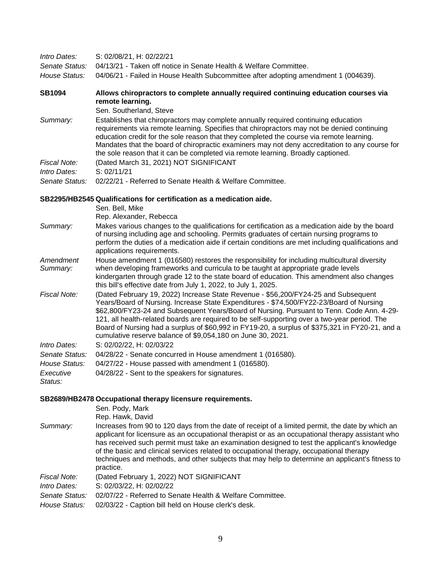| Intro Dates:                 | S: 02/08/21, H: 02/22/21                                                                                                                                                                                                                                                                                                                                                                                                                                            |
|------------------------------|---------------------------------------------------------------------------------------------------------------------------------------------------------------------------------------------------------------------------------------------------------------------------------------------------------------------------------------------------------------------------------------------------------------------------------------------------------------------|
| Senate Status:               | 04/13/21 - Taken off notice in Senate Health & Welfare Committee.                                                                                                                                                                                                                                                                                                                                                                                                   |
| House Status:                | 04/06/21 - Failed in House Health Subcommittee after adopting amendment 1 (004639).                                                                                                                                                                                                                                                                                                                                                                                 |
| <b>SB1094</b>                | Allows chiropractors to complete annually required continuing education courses via<br>remote learning.<br>Sen. Southerland, Steve                                                                                                                                                                                                                                                                                                                                  |
| Summary:                     | Establishes that chiropractors may complete annually required continuing education<br>requirements via remote learning. Specifies that chiropractors may not be denied continuing<br>education credit for the sole reason that they completed the course via remote learning.<br>Mandates that the board of chiropractic examiners may not deny accreditation to any course for<br>the sole reason that it can be completed via remote learning. Broadly captioned. |
| Fiscal Note:<br>Intro Dates: | (Dated March 31, 2021) NOT SIGNIFICANT<br>S: 02/11/21                                                                                                                                                                                                                                                                                                                                                                                                               |
| Senate Status:               | 02/22/21 - Referred to Senate Health & Welfare Committee.                                                                                                                                                                                                                                                                                                                                                                                                           |

## **[SB2295/HB2545 Qualifications for certification as a medication aide.](https://tls.mleesmith.com/2021-2022/pdf/SB2295.pdf)**

|                       | Sen. Bell, Mike<br>Rep. Alexander, Rebecca                                                                                                                                                                                                                                                                                                                                                                                                                                                                                                    |
|-----------------------|-----------------------------------------------------------------------------------------------------------------------------------------------------------------------------------------------------------------------------------------------------------------------------------------------------------------------------------------------------------------------------------------------------------------------------------------------------------------------------------------------------------------------------------------------|
| Summary:              | Makes various changes to the qualifications for certification as a medication aide by the board<br>of nursing including age and schooling. Permits graduates of certain nursing programs to<br>perform the duties of a medication aide if certain conditions are met including qualifications and<br>applications requirements.                                                                                                                                                                                                               |
| Amendment<br>Summary: | House amendment 1 (016580) restores the responsibility for including multicultural diversity<br>when developing frameworks and curricula to be taught at appropriate grade levels<br>kindergarten through grade 12 to the state board of education. This amendment also changes<br>this bill's effective date from July 1, 2022, to July 1, 2025.                                                                                                                                                                                             |
| Fiscal Note:          | (Dated February 19, 2022) Increase State Revenue - \$56,200/FY24-25 and Subsequent<br>Years/Board of Nursing. Increase State Expenditures - \$74,500/FY22-23/Board of Nursing<br>\$62,800/FY23-24 and Subsequent Years/Board of Nursing. Pursuant to Tenn. Code Ann. 4-29-<br>121, all health-related boards are required to be self-supporting over a two-year period. The<br>Board of Nursing had a surplus of \$60,992 in FY19-20, a surplus of \$375,321 in FY20-21, and a<br>cumulative reserve balance of \$9,054,180 on June 30, 2021. |
| Intro Dates:          | S: 02/02/22, H: 02/03/22                                                                                                                                                                                                                                                                                                                                                                                                                                                                                                                      |
| Senate Status:        | 04/28/22 - Senate concurred in House amendment 1 (016580).                                                                                                                                                                                                                                                                                                                                                                                                                                                                                    |
| House Status:         | 04/27/22 - House passed with amendment 1 (016580).                                                                                                                                                                                                                                                                                                                                                                                                                                                                                            |
| Executive<br>Status:  | 04/28/22 - Sent to the speakers for signatures.                                                                                                                                                                                                                                                                                                                                                                                                                                                                                               |

## **[SB2689/HB2478 Occupational therapy licensure requirements.](https://tls.mleesmith.com/2021-2022/pdf/SB2689.pdf)**

|                | Sen. Pody, Mark<br>Rep. Hawk, David                                                                                                                                                                                                                                                                                                                                                                                                                                                                              |
|----------------|------------------------------------------------------------------------------------------------------------------------------------------------------------------------------------------------------------------------------------------------------------------------------------------------------------------------------------------------------------------------------------------------------------------------------------------------------------------------------------------------------------------|
| Summary:       | Increases from 90 to 120 days from the date of receipt of a limited permit, the date by which an<br>applicant for licensure as an occupational therapist or as an occupational therapy assistant who<br>has received such permit must take an examination designed to test the applicant's knowledge<br>of the basic and clinical services related to occupational therapy, occupational therapy<br>techniques and methods, and other subjects that may help to determine an applicant's fitness to<br>practice. |
| Fiscal Note:   | (Dated February 1, 2022) NOT SIGNIFICANT                                                                                                                                                                                                                                                                                                                                                                                                                                                                         |
| Intro Dates:   | S: 02/03/22, H: 02/02/22                                                                                                                                                                                                                                                                                                                                                                                                                                                                                         |
| Senate Status: | 02/07/22 - Referred to Senate Health & Welfare Committee.                                                                                                                                                                                                                                                                                                                                                                                                                                                        |
| House Status:  | 02/03/22 - Caption bill held on House clerk's desk.                                                                                                                                                                                                                                                                                                                                                                                                                                                              |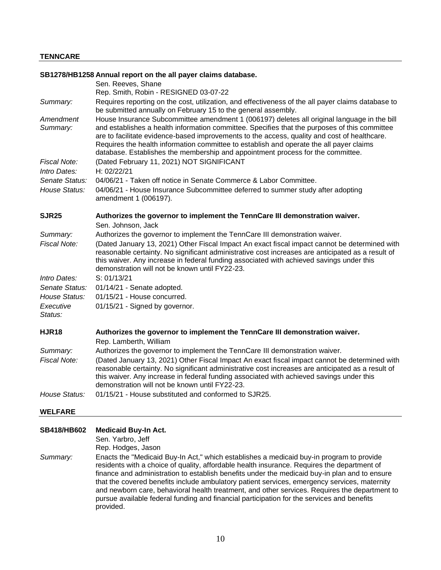#### **[SB1278/HB1258 Annual report on the all payer claims database.](https://tls.mleesmith.com/2021-2022/pdf/SB1278.pdf)**  Sen. Reeves, Shane Rep. Smith, Robin - RESIGNED 03-07-22 *Summary:* Requires reporting on the cost, utilization, and effectiveness of the all payer claims database to be submitted annually on February 15 to the general assembly. *Amendment Summary:* House Insurance Subcommittee amendment 1 (006197) deletes all original language in the bill and establishes a health information committee. Specifies that the purposes of this committee are to facilitate evidence-based improvements to the access, quality and cost of healthcare. Requires the health information committee to establish and operate the all payer claims database. Establishes the membership and appointment process for the committee. *Fiscal Note:* (Dated February 11, 2021) NOT SIGNIFICANT *Intro Dates:* H: 02/22/21 *Senate Status:* 04/06/21 - Taken off notice in Senate Commerce & Labor Committee. *House Status:* 04/06/21 - House Insurance Subcommittee deferred to summer study after adopting amendment 1 (006197). **[SJR25 Authorizes the governor to implement the TennCare III demonstration waiver.](https://tls.mleesmith.com/2021-2022/pdf/SJR0025.pdf)**  Sen. Johnson, Jack *Summary:* Authorizes the governor to implement the TennCare III demonstration waiver. *Fiscal Note:* (Dated January 13, 2021) Other Fiscal Impact An exact fiscal impact cannot be determined with reasonable certainty. No significant administrative cost increases are anticipated as a result of this waiver. Any increase in federal funding associated with achieved savings under this demonstration will not be known until FY22-23. *Intro Dates:* S: 01/13/21 *Senate Status:* 01/14/21 - Senate adopted. *House Status:* 01/15/21 - House concurred. *Executive Status:* 01/15/21 - Signed by governor. **[HJR18 Authorizes the governor to implement the TennCare III demonstration waiver.](https://tls.mleesmith.com/2021-2022/pdf/HJR0018.pdf)**  Rep. Lamberth, William *Summary:* Authorizes the governor to implement the TennCare III demonstration waiver. *Fiscal Note:* (Dated January 13, 2021) Other Fiscal Impact An exact fiscal impact cannot be determined with reasonable certainty. No significant administrative cost increases are anticipated as a result of this waiver. Any increase in federal funding associated with achieved savings under this demonstration will not be known until FY22-23. *House Status:* 01/15/21 - House substituted and conformed to SJR25.

#### **WELFARE**

#### **[SB418/HB602 Medicaid Buy-In Act.](https://tls.mleesmith.com/2021-2022/pdf/SB0418.pdf)**

Sen. Yarbro, Jeff

Rep. Hodges, Jason

*Summary:* Enacts the "Medicaid Buy-In Act," which establishes a medicaid buy-in program to provide residents with a choice of quality, affordable health insurance. Requires the department of finance and administration to establish benefits under the medicaid buy-in plan and to ensure that the covered benefits include ambulatory patient services, emergency services, maternity and newborn care, behavioral health treatment, and other services. Requires the department to pursue available federal funding and financial participation for the services and benefits provided.